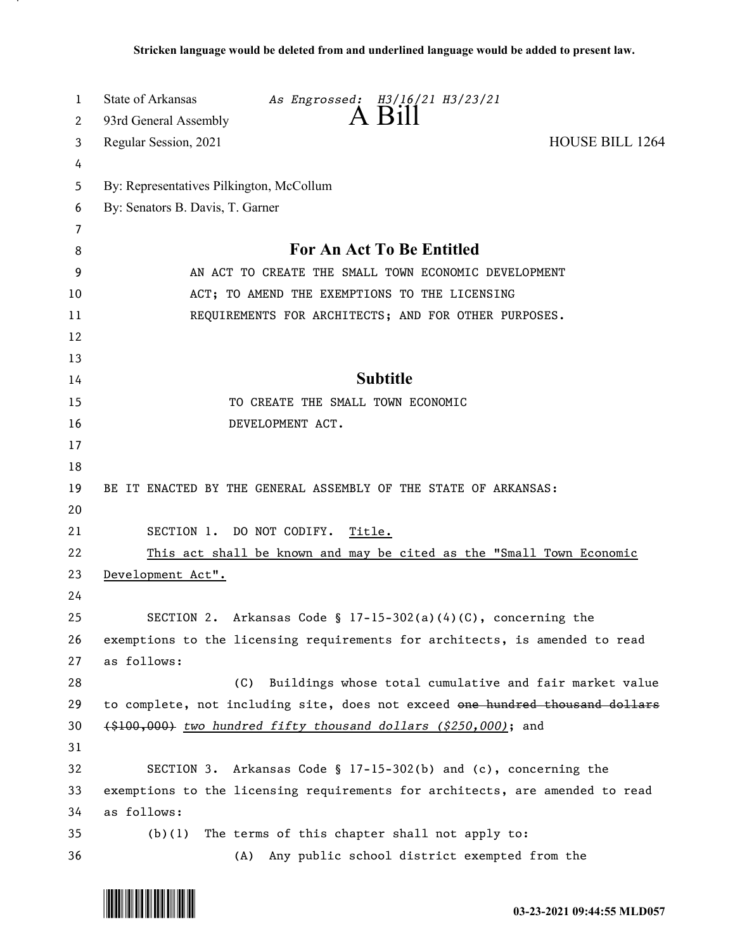| 1        | State of Arkansas<br>As Engrossed: H3/16/21 H3/23/21                                                        |
|----------|-------------------------------------------------------------------------------------------------------------|
| 2        | $A$ B <sub>1</sub> $\parallel$<br>93rd General Assembly                                                     |
| 3        | <b>HOUSE BILL 1264</b><br>Regular Session, 2021                                                             |
| 4        |                                                                                                             |
| 5        | By: Representatives Pilkington, McCollum                                                                    |
| 6        | By: Senators B. Davis, T. Garner                                                                            |
| 7        |                                                                                                             |
| 8        | <b>For An Act To Be Entitled</b>                                                                            |
| 9        | AN ACT TO CREATE THE SMALL TOWN ECONOMIC DEVELOPMENT                                                        |
| 10       | ACT; TO AMEND THE EXEMPTIONS TO THE LICENSING                                                               |
| 11       | REQUIREMENTS FOR ARCHITECTS; AND FOR OTHER PURPOSES.                                                        |
| 12       |                                                                                                             |
| 13       |                                                                                                             |
| 14       | <b>Subtitle</b>                                                                                             |
| 15       | TO CREATE THE SMALL TOWN ECONOMIC                                                                           |
| 16       | DEVELOPMENT ACT.                                                                                            |
| 17       |                                                                                                             |
| 18       |                                                                                                             |
| 19       | BE IT ENACTED BY THE GENERAL ASSEMBLY OF THE STATE OF ARKANSAS:                                             |
| 20       |                                                                                                             |
| 21       | SECTION 1. DO NOT CODIFY.<br>Title.                                                                         |
| 22       | This act shall be known and may be cited as the "Small Town Economic                                        |
| 23       | Development Act".                                                                                           |
| 24       |                                                                                                             |
| 25       | SECTION 2. Arkansas Code § 17-15-302(a)(4)(C), concerning the                                               |
| 26       | exemptions to the licensing requirements for architects, is amended to read                                 |
| 27       | as follows:                                                                                                 |
| 28       | (C)<br>Buildings whose total cumulative and fair market value                                               |
| 29       | to complete, not including site, does not exceed one hundred thousand dollars                               |
| 30       | $\{ $100,000\}$ two hundred fifty thousand dollars $($250,000)$ ; and                                       |
| 31       |                                                                                                             |
| 32       | SECTION 3. Arkansas Code § 17-15-302(b) and (c), concerning the                                             |
| 33       | exemptions to the licensing requirements for architects, are amended to read<br>as follows:                 |
| 34       |                                                                                                             |
| 35<br>36 | The terms of this chapter shall not apply to:<br>(b)(1)<br>(A) Any public school district exempted from the |
|          |                                                                                                             |

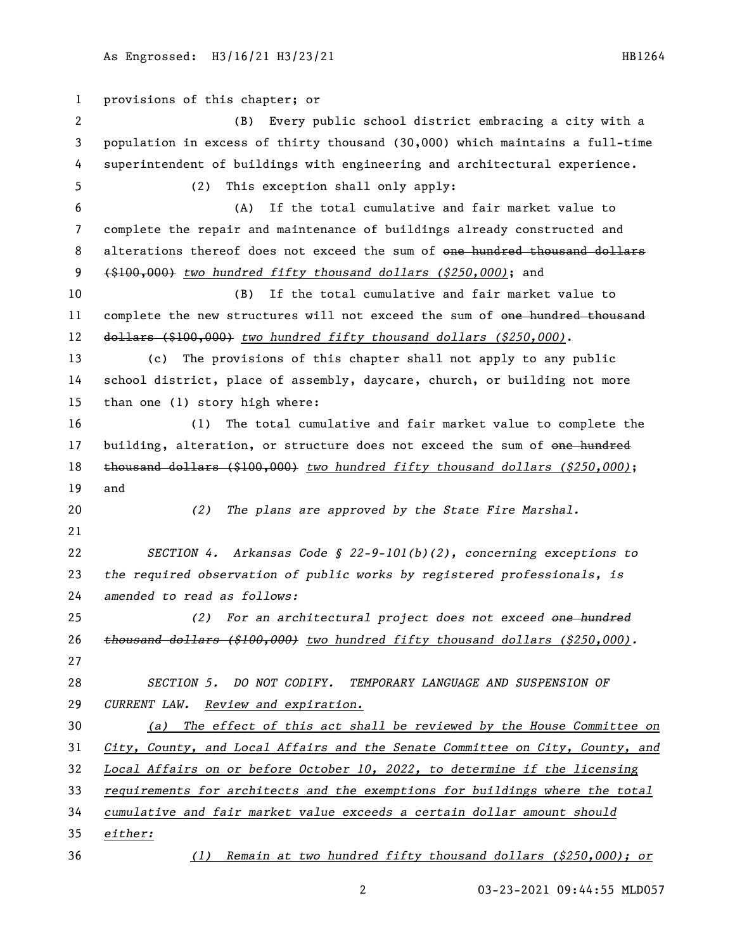provisions of this chapter; or (B) Every public school district embracing a city with a population in excess of thirty thousand (30,000) which maintains a full-time superintendent of buildings with engineering and architectural experience. (2) This exception shall only apply: (A) If the total cumulative and fair market value to complete the repair and maintenance of buildings already constructed and 8 alterations thereof does not exceed the sum of one hundred thousand dollars (\$100,000) *two hundred fifty thousand dollars (\$250,000)*; and (B) If the total cumulative and fair market value to 11 complete the new structures will not exceed the sum of <del>one hundred thousand</del> dollars (\$100,000) *two hundred fifty thousand dollars (\$250,000)*. (c) The provisions of this chapter shall not apply to any public school district, place of assembly, daycare, church, or building not more than one (1) story high where: (1) The total cumulative and fair market value to complete the 17 building, alteration, or structure does not exceed the sum of one hundred thousand dollars (\$100,000) *two hundred fifty thousand dollars (\$250,000)*; and *(2) The plans are approved by the State Fire Marshal. SECTION 4. Arkansas Code § 22-9-101(b)(2), concerning exceptions to the required observation of public works by registered professionals, is amended to read as follows: (2) For an architectural project does not exceed one hundred thousand dollars (\$100,000) two hundred fifty thousand dollars (\$250,000). SECTION 5. DO NOT CODIFY. TEMPORARY LANGUAGE AND SUSPENSION OF CURRENT LAW. Review and expiration. (a) The effect of this act shall be reviewed by the House Committee on City, County, and Local Affairs and the Senate Committee on City, County, and Local Affairs on or before October 10, 2022, to determine if the licensing requirements for architects and the exemptions for buildings where the total cumulative and fair market value exceeds a certain dollar amount should either: (1) Remain at two hundred fifty thousand dollars (\$250,000); or*

03-23-2021 09:44:55 MLD057